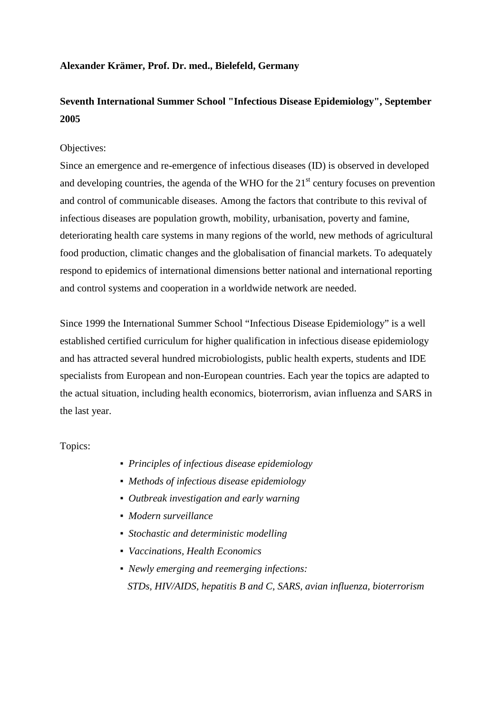## **Alexander Krämer, Prof. Dr. med., Bielefeld, Germany**

## **Seventh International Summer School "Infectious Disease Epidemiology", September 2005**

## Objectives:

Since an emergence and re-emergence of infectious diseases (ID) is observed in developed and developing countries, the agenda of the WHO for the  $21<sup>st</sup>$  century focuses on prevention and control of communicable diseases. Among the factors that contribute to this revival of infectious diseases are population growth, mobility, urbanisation, poverty and famine, deteriorating health care systems in many regions of the world, new methods of agricultural food production, climatic changes and the globalisation of financial markets. To adequately respond to epidemics of international dimensions better national and international reporting and control systems and cooperation in a worldwide network are needed.

Since 1999 the International Summer School "Infectious Disease Epidemiology" is a well established certified curriculum for higher qualification in infectious disease epidemiology and has attracted several hundred microbiologists, public health experts, students and IDE specialists from European and non-European countries. Each year the topics are adapted to the actual situation, including health economics, bioterrorism, avian influenza and SARS in the last year.

## Topics:

- *▪ Principles of infectious disease epidemiology*
- *▪ Methods of infectious disease epidemiology*
- *▪ Outbreak investigation and early warning*
- *▪ Modern surveillance*
- *▪ Stochastic and deterministic modelling*
- *▪ Vaccinations, Health Economics*
- *▪ Newly emerging and reemerging infections: STDs, HIV/AIDS, hepatitis B and C, SARS, avian influenza, bioterrorism*